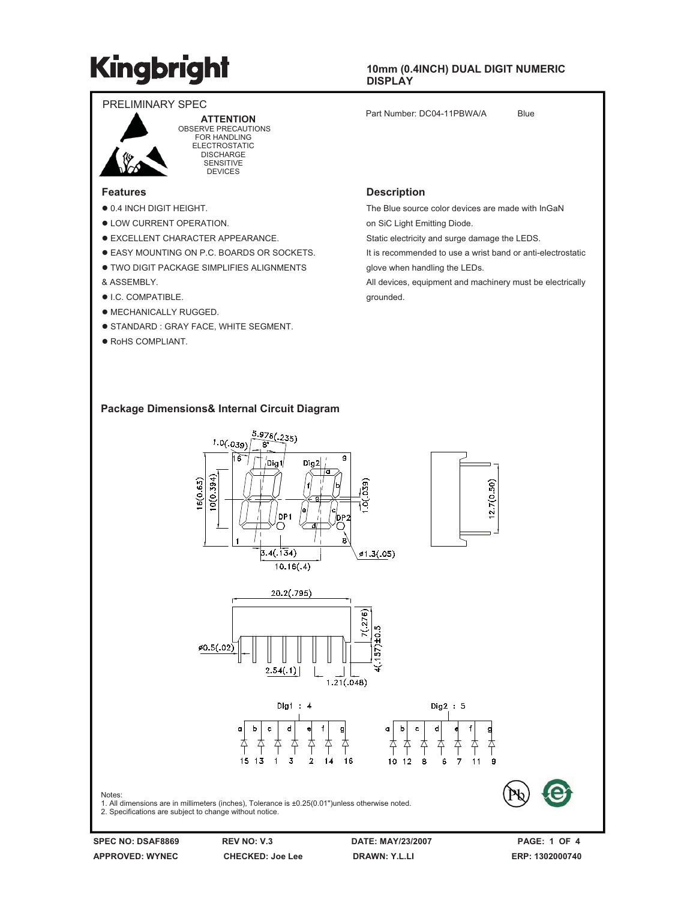### **10mm (0.4INCH) DUAL DIGIT NUMERIC DISPLAY**ʳ

Part Number: DC04-11PBWA/A Blue



ʳʳʳʳ**ATTENTION** OBSERVE PRECAUTIONS FOR HANDLING ELECTROSTATIC DISCHARGE **SENSITIVE** 

DEVICES

### **Features**

- $\bullet$  0.4 INCH DIGIT HEIGHT.
- $\bullet$  LOW CURRENT OPERATION.
- **EXCELLENT CHARACTER APPEARANCE.**
- **EASY MOUNTING ON P.C. BOARDS OR SOCKETS.**
- **.** TWO DIGIT PACKAGE SIMPLIFIES ALIGNMENTS & ASSEMBLY.
- $\bullet$  I.C. COMPATIBLE.
- $\bullet$  MECHANICALLY RUGGED.
- **STANDARD : GRAY FACE, WHITE SEGMENT.**
- · RoHS COMPLIANT.

#### **Description**

The Blue source color devices are made with InGaN

on SiC Light Emitting Diode.

Static electricity and surge damage the LEDS.

It is recommended to use a wrist band or anti-electrostatic

glove when handling the LEDs.

All devices, equipment and machinery must be electrically grounded.

### **Package Dimensions& Internal Circuit Diagram**



Notes:

2. Specifications are subject to change without notice.

**SPEC NO: DSAF8869 REV NO: V.3 DATE: MAY/23/2007 PAGE: 1 OF 4 APPROVED: WYNEC CHECKED: Joe Lee DRAWN: Y.L.LI ERP: 1302000740**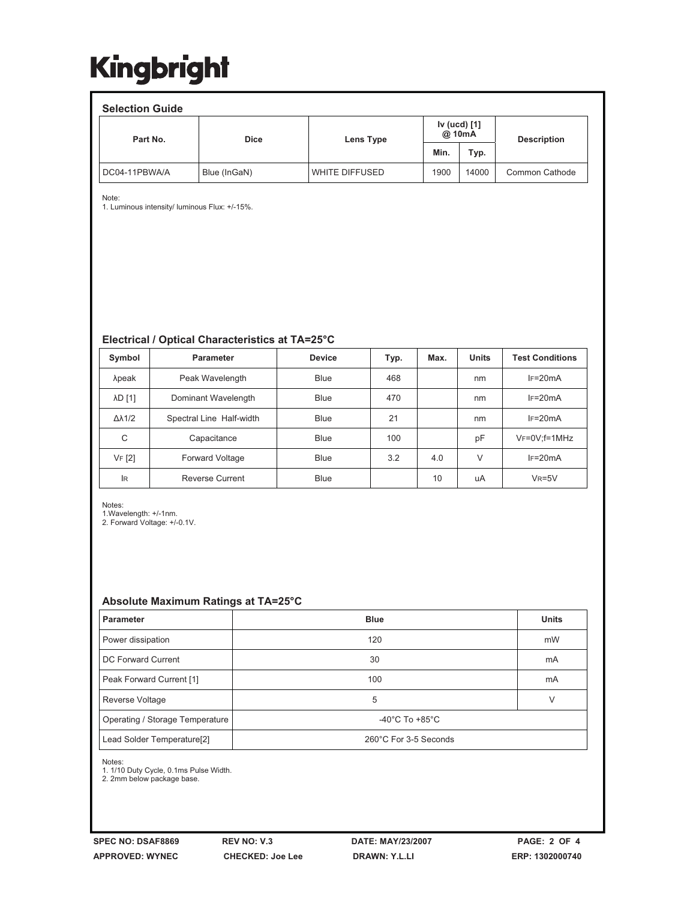| <b>Selection Guide</b> |              |                                     |      |       |                    |  |  |  |  |  |
|------------------------|--------------|-------------------------------------|------|-------|--------------------|--|--|--|--|--|
| Part No.               | <b>Dice</b>  | Iv (ucd) [1]<br>@ 10mA<br>Lens Type |      |       | <b>Description</b> |  |  |  |  |  |
|                        |              |                                     | Min. | Typ.  |                    |  |  |  |  |  |
| DC04-11PBWA/A          | Blue (InGaN) | WHITE DIFFUSED                      | 1900 | 14000 | Common Cathode     |  |  |  |  |  |

Note:

1. Luminous intensity/ luminous Flux: +/-15%.

## **Electrical / Optical Characteristics at TA=25°C**

| Symbol              | Parameter                | <b>Device</b> | Typ. | Max. | <b>Units</b> | <b>Test Conditions</b> |
|---------------------|--------------------------|---------------|------|------|--------------|------------------------|
| λpeak               | Peak Wavelength          | <b>Blue</b>   | 468  |      | nm           | $IF=20mA$              |
| λD [1]              | Dominant Wavelength      | Blue          | 470  |      | nm           | $IF=20mA$              |
| $\Delta\lambda$ 1/2 | Spectral Line Half-width | Blue          | 21   |      | nm           | $IF=20mA$              |
| C                   | Capacitance              | Blue          | 100  |      | pF           | $VF=0V; f=1MHz$        |
| VF [2]              | <b>Forward Voltage</b>   | Blue          | 3.2  | 4.0  | $\vee$       | $IF=20mA$              |
| <b>IR</b>           | <b>Reverse Current</b>   | Blue          |      | 10   | uA           | $V_R = 5V$             |

Notes: 1.Wavelength: +/-1nm. 2. Forward Voltage: +/-0.1V.

### **Absolute Maximum Ratings at TA=25°C**

| Parameter                              | <b>Blue</b>                          | <b>Units</b> |  |  |
|----------------------------------------|--------------------------------------|--------------|--|--|
| Power dissipation                      | 120                                  | mW           |  |  |
| DC Forward Current                     | 30                                   | mA           |  |  |
| Peak Forward Current [1]               | 100                                  | mA           |  |  |
| Reverse Voltage                        | 5                                    | V            |  |  |
| Operating / Storage Temperature        | -40 $^{\circ}$ C To +85 $^{\circ}$ C |              |  |  |
| Lead Solder Temperature <sup>[2]</sup> | 260°C For 3-5 Seconds                |              |  |  |

Notes:

1. 1/10 Duty Cycle, 0.1ms Pulse Width. 2. 2mm below package base.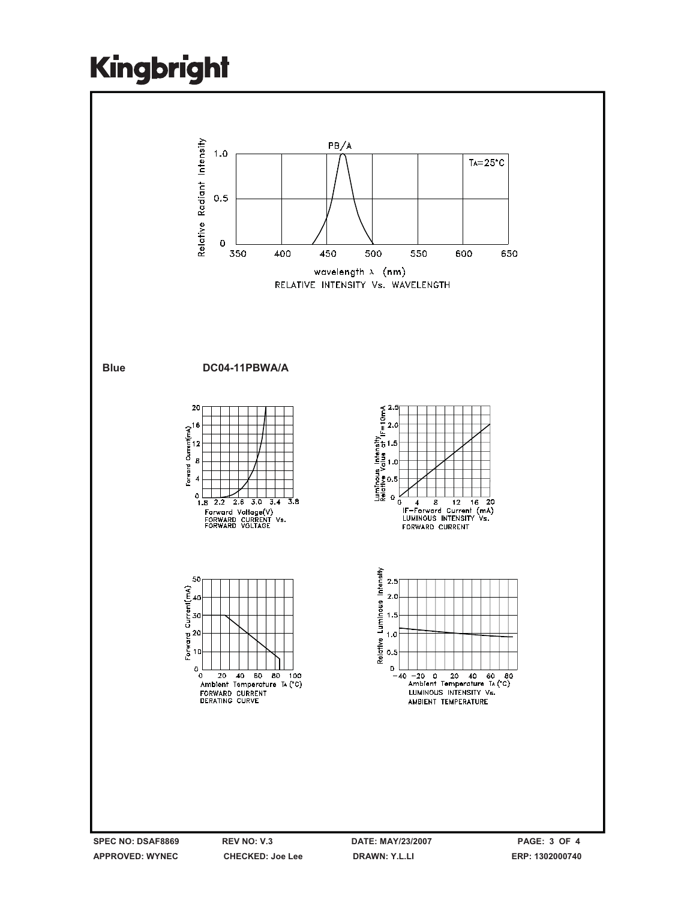